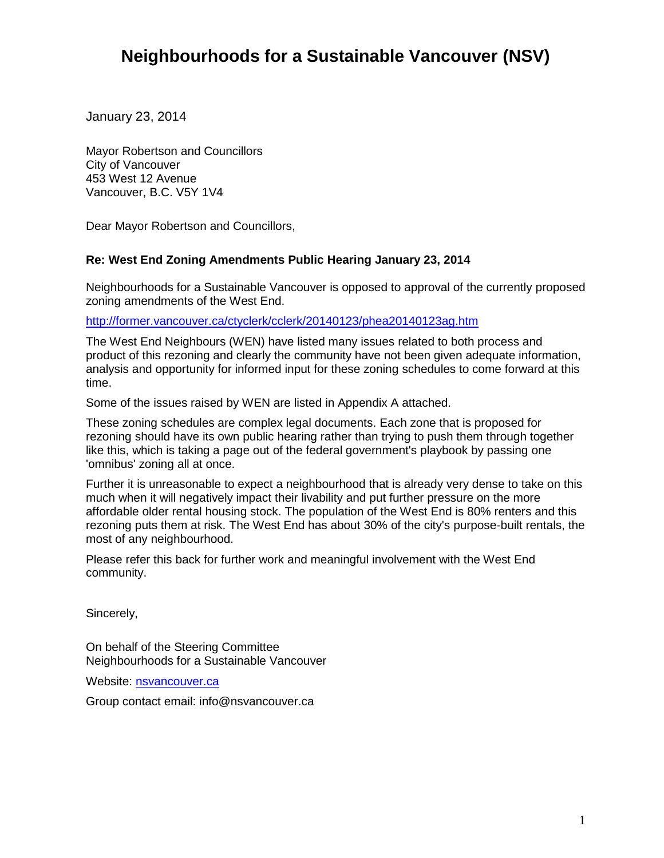## **Neighbourhoods for a Sustainable Vancouver (NSV)**

January 23, 2014

Mayor Robertson and Councillors City of Vancouver 453 West 12 Avenue Vancouver, B.C. V5Y 1V4

Dear Mayor Robertson and Councillors,

## **Re: West End Zoning Amendments Public Hearing January 23, 2014**

Neighbourhoods for a Sustainable Vancouver is opposed to approval of the currently proposed zoning amendments of the West End.

<http://former.vancouver.ca/ctyclerk/cclerk/20140123/phea20140123ag.htm>

The West End Neighbours (WEN) have listed many issues related to both process and product of this rezoning and clearly the community have not been given adequate information, analysis and opportunity for informed input for these zoning schedules to come forward at this time.

Some of the issues raised by WEN are listed in Appendix A attached.

These zoning schedules are complex legal documents. Each zone that is proposed for rezoning should have its own public hearing rather than trying to push them through together like this, which is taking a page out of the federal government's playbook by passing one 'omnibus' zoning all at once.

Further it is unreasonable to expect a neighbourhood that is already very dense to take on this much when it will negatively impact their livability and put further pressure on the more affordable older rental housing stock. The population of the West End is 80% renters and this rezoning puts them at risk. The West End has about 30% of the city's purpose-built rentals, the most of any neighbourhood.

Please refer this back for further work and meaningful involvement with the West End community.

Sincerely,

On behalf of the Steering Committee Neighbourhoods for a Sustainable Vancouver

Website: [nsvancouver.ca](http://nsvancouver.ca/) 

Group contact email: info@nsvancouver.ca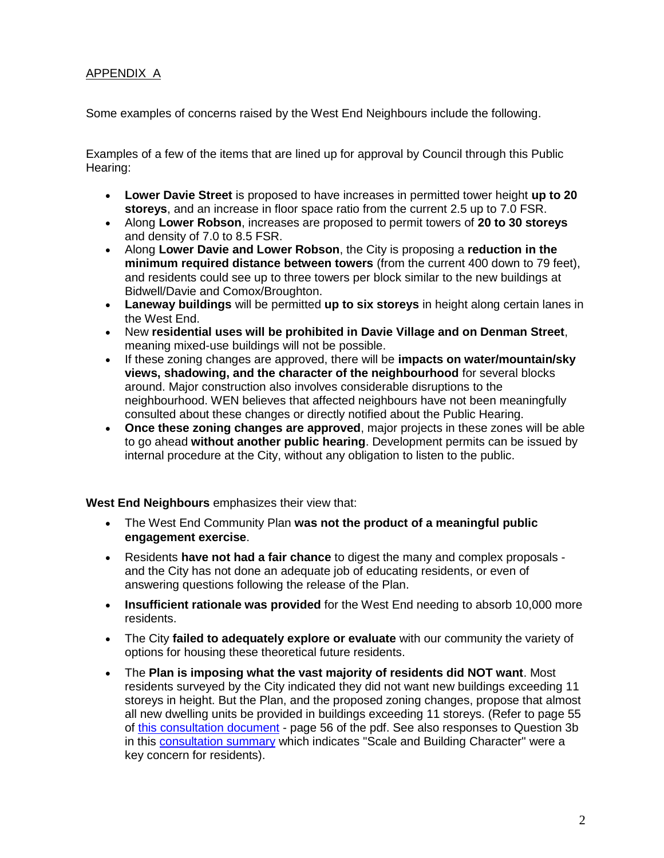## APPENDIX A

Some examples of concerns raised by the West End Neighbours include the following.

Examples of a few of the items that are lined up for approval by Council through this Public Hearing:

- **Lower Davie Street** is proposed to have increases in permitted tower height **up to 20 storeys**, and an increase in floor space ratio from the current 2.5 up to 7.0 FSR.
- Along **Lower Robson**, increases are proposed to permit towers of **20 to 30 storeys** and density of 7.0 to 8.5 FSR.
- Along **Lower Davie and Lower Robson**, the City is proposing a **reduction in the minimum required distance between towers** (from the current 400 down to 79 feet), and residents could see up to three towers per block similar to the new buildings at Bidwell/Davie and Comox/Broughton.
- **Laneway buildings** will be permitted **up to six storeys** in height along certain lanes in the West End.
- New **residential uses will be prohibited in Davie Village and on Denman Street**, meaning mixed-use buildings will not be possible.
- If these zoning changes are approved, there will be **impacts on water/mountain/sky views, shadowing, and the character of the neighbourhood** for several blocks around. Major construction also involves considerable disruptions to the neighbourhood. WEN believes that affected neighbours have not been meaningfully consulted about these changes or directly notified about the Public Hearing.
- **Once these zoning changes are approved**, major projects in these zones will be able to go ahead **without another public hearing**. Development permits can be issued by internal procedure at the City, without any obligation to listen to the public.

**West End Neighbours** emphasizes their view that:

- The West End Community Plan **was not the product of a meaningful public engagement exercise**.
- Residents **have not had a fair chance** to digest the many and complex proposals and the City has not done an adequate job of educating residents, or even of answering questions following the release of the Plan.
- **Insufficient rationale was provided** for the West End needing to absorb 10,000 more residents.
- The City **failed to adequately explore or evaluate** with our community the variety of options for housing these theoretical future residents.
- The **Plan is imposing what the vast majority of residents did NOT want**. Most residents surveyed by the City indicated they did not want new buildings exceeding 11 storeys in height. But the Plan, and the proposed zoning changes, propose that almost all new dwelling units be provided in buildings exceeding 11 storeys. (Refer to page 55 of [this consultation document](http://r20.rs6.net/tn.jsp?f=001epV_BwZMgyQxHPdj8hve9eYhFUv6tpWTTPH0wFIVfgXkwIGBFqUUPFoo9spQx1Or1lWnAkJG1pcZglNJx-As_a9zsZa6zs1-12SOkdbao5E1fXMUUYZo3T1sAnEkgb8NVqaFhjGeonM0AmP1m9FpTuxlGf5MD3JQpGIxIofQejuPj27hSqT4pnxrFJhjvY6g48LG07zE6V8YIdT8wGaVZF98BKo3VSziXAr9KP-JXk_1QuzaDUvoU8U6V44FNn587LtPGPn9B1k=&c=jkUjSO_ZYN9spyV5x2htvIYSr_CnwMyCcRZCzzV4A7dx4Tfd6I-2VQ==&ch=j8e2SGkn7Kf_cgGDwJGU4LeIIJ0TocDW7_VjXfFTlDVg462BZUseZQ==) - page 56 of the pdf. See also responses to Question 3b in this [consultation summary](http://r20.rs6.net/tn.jsp?f=001epV_BwZMgyQxHPdj8hve9eYhFUv6tpWTTPH0wFIVfgXkwIGBFqUUPFoo9spQx1Or1lWnAkJG1pcZglNJx-As_a9zsZa6zs1-12SOkdbao5E1fXMUUYZo3T1sAnEkgb8NVqaFhjGeonM0AmP1m9FpTuxlGf5MD3JQpGIxIofQejuPj27hSqT4pnxrFJhjvY6g48LG07zE6V8YIdT8wGaVZF98BKo3VSziXAr9KP-JXk_1QuzaDUvoU8U6V44FNn587LtPGPn9B1k=&c=jkUjSO_ZYN9spyV5x2htvIYSr_CnwMyCcRZCzzV4A7dx4Tfd6I-2VQ==&ch=j8e2SGkn7Kf_cgGDwJGU4LeIIJ0TocDW7_VjXfFTlDVg462BZUseZQ==) which indicates "Scale and Building Character" were a key concern for residents).